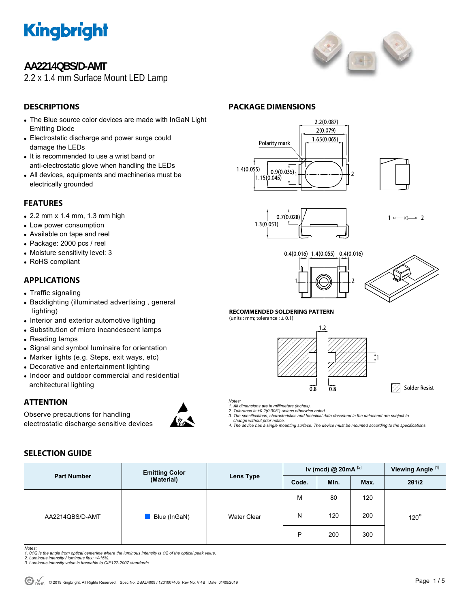

# **AA2214QBS/D-AMT**

2.2 x 1.4 mm Surface Mount LED Lamp



# **DESCRIPTIONS**

- The Blue source color devices are made with InGaN Light Emitting Diode
- Electrostatic discharge and power surge could damage the LEDs
- It is recommended to use a wrist band or anti-electrostatic glove when handling the LEDs
- All devices, equipments and machineries must be electrically grounded

### **FEATURES**

- $\bullet$  2.2 mm x 1.4 mm, 1.3 mm high
- Low power consumption
- Available on tape and reel
- Package: 2000 pcs / reel
- Moisture sensitivity level: 3
- RoHS compliant

### **APPLICATIONS**

- Traffic signaling
- Backlighting (illuminated advertising, general lighting)
- Interior and exterior automotive lighting
- Substitution of micro incandescent lamps
- Reading lamps
- Signal and symbol luminaire for orientation
- Marker lights (e.g. Steps, exit ways, etc)
- Decorative and entertainment lighting
- Indoor and outdoor commercial and residential architectural lighting

## **ATTENTION**

Observe precautions for handling electrostatic discharge sensitive devices



# **PACKAGE DIMENSIONS**







 $\star$  $\sim$  2  $1^{\circ}$ 





#### **RECOMMENDED SOLDERING PATTERN**





√ Solder Resist

*Notes:* 

- *1. All dimensions are in millimeters (inches). 2. Tolerance is ±0.2(0.008") unless otherwise noted.*
- *3. The specifications, characteristics and technical data described in the datasheet are subject to*
- *change without prior notice. 4. The device has a single mounting surface. The device must be mounted according to the specifications.*

## **SELECTION GUIDE**

| <b>Part Number</b> | <b>Emitting Color</b> | Iv (mcd) @ $20mA$ <sup>[2]</sup><br>Lens Type<br>Code.<br>Min. |   |                               | Viewing Angle <sup>[1]</sup> |       |
|--------------------|-----------------------|----------------------------------------------------------------|---|-------------------------------|------------------------------|-------|
|                    | (Material)            |                                                                |   |                               | Max.                         | 201/2 |
| AA2214QBS/D-AMT    |                       |                                                                | M | 80                            | 120                          |       |
|                    | Blue (InGaN)          | <b>Water Clear</b>                                             | Ν | 200<br>120<br>P<br>200<br>300 | $120^\circ$                  |       |
|                    |                       |                                                                |   |                               |                              |       |

*Notes:* 

- *1. θ1/2 is the angle from optical centerline where the luminous intensity is 1/2 of the optical peak value. 2. Luminous intensity / luminous flux: +/-15%.*
- *3. Luminous intensity value is traceable to CIE127-2007 standards.*
-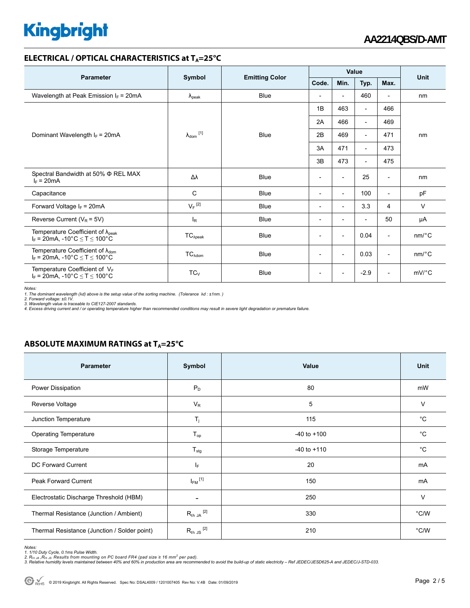# **Kingbright**

#### **ELECTRICAL / OPTICAL CHARACTERISTICS at T<sub>A</sub>=25°C**

| <b>Parameter</b>                                                                             | Symbol<br><b>Emitting Color</b> |             | Value                    |                          |                          |                          |                       |
|----------------------------------------------------------------------------------------------|---------------------------------|-------------|--------------------------|--------------------------|--------------------------|--------------------------|-----------------------|
|                                                                                              |                                 |             | Code.                    | Min.                     | Typ.                     | Max.                     | <b>Unit</b>           |
| Wavelength at Peak Emission $I_F$ = 20mA                                                     | $\lambda_{\rm peak}$            | <b>Blue</b> | $\overline{\phantom{a}}$ | $\overline{\phantom{a}}$ | 460                      | $\overline{\phantom{a}}$ | nm                    |
|                                                                                              |                                 | Blue        | 1B                       | 463                      | $\overline{\phantom{a}}$ | 466                      | nm                    |
|                                                                                              | $\lambda_{dom}$ <sup>[1]</sup>  |             | 2A                       | 466                      | $\overline{\phantom{a}}$ | 469                      |                       |
| Dominant Wavelength $I_F = 20 \text{mA}$                                                     |                                 |             | 2B                       | 469                      | $\overline{\phantom{a}}$ | 471                      |                       |
|                                                                                              |                                 |             | 3A                       | 471                      | $\overline{\phantom{a}}$ | 473                      |                       |
|                                                                                              |                                 |             | 3B                       | 473                      | $\overline{\phantom{a}}$ | 475                      |                       |
| Spectral Bandwidth at 50% $\Phi$ REL MAX<br>$I_F = 20mA$                                     | Δλ                              | <b>Blue</b> | $\overline{\phantom{a}}$ | $\overline{\phantom{a}}$ | 25                       | $\overline{\phantom{a}}$ | nm                    |
| Capacitance                                                                                  | $\mathsf{C}$                    | Blue        | $\overline{\phantom{a}}$ | $\overline{\phantom{a}}$ | 100                      | $\overline{\phantom{a}}$ | pF                    |
| Forward Voltage $I_F$ = 20mA                                                                 | $V_F$ <sup>[2]</sup>            | <b>Blue</b> | $\overline{\phantom{a}}$ | $\overline{\phantom{a}}$ | 3.3                      | 4                        | $\vee$                |
| Reverse Current ( $V_R$ = 5V)                                                                | $I_R$                           | <b>Blue</b> | $\overline{\phantom{a}}$ | $\overline{\phantom{a}}$ | $\overline{a}$           | 50                       | μA                    |
| Temperature Coefficient of $\lambda_{peak}$<br>$I_F = 20mA$ , -10°C $\le T \le 100$ °C       | $TC_{\lambda peak}$             | <b>Blue</b> | $\overline{\phantom{a}}$ | $\overline{\phantom{a}}$ | 0.04                     | $\overline{\phantom{a}}$ | $nm$ <sup>o</sup> $C$ |
| Temperature Coefficient of $\lambda_{\text{dom}}$<br>$I_F = 20$ mA, -10°C $\le T \le 100$ °C | $TC_{\lambda dom}$              | Blue        | $\overline{\phantom{a}}$ | $\overline{\phantom{a}}$ | 0.03                     | $\overline{\phantom{a}}$ | $nm$ <sup>o</sup> $C$ |
| Temperature Coefficient of VF<br>$I_F$ = 20mA, -10°C $\le T \le 100$ °C                      | $TC_V$                          | <b>Blue</b> | $\overline{\phantom{a}}$ | $\overline{\phantom{a}}$ | $-2.9$                   | $\overline{\phantom{a}}$ | $mV$ <sup>o</sup> $C$ |

*Notes:* 

1. The dominant wavelength (λd) above is the setup value of the sorting machine. (Tolerance λd : ±1nm. )<br>2. Forward voltage: ±0.1V.<br>3. Wavelength value is traceable to CIE127-2007 standards.<br>4. Excess driving current and

## **ABSOLUTE MAXIMUM RATINGS at T<sub>A</sub>=25°C**

| <b>Parameter</b>                             | Symbol                   | Value           | <b>Unit</b>   |
|----------------------------------------------|--------------------------|-----------------|---------------|
| Power Dissipation                            | $P_D$                    | 80              | mW            |
| Reverse Voltage                              | $V_R$                    | 5               | $\vee$        |
| Junction Temperature                         | $T_j$                    | 115             | °C            |
| <b>Operating Temperature</b>                 | $T_{op}$                 | $-40$ to $+100$ | $^{\circ}C$   |
| Storage Temperature                          | $T_{\text{stg}}$         | $-40$ to $+110$ | °C            |
| DC Forward Current                           | IF.                      | 20              | mA            |
| <b>Peak Forward Current</b>                  | $I_{FM}$ <sup>[1]</sup>  | 150             | mA            |
| Electrostatic Discharge Threshold (HBM)      | $\overline{\phantom{a}}$ | 250             | V             |
| Thermal Resistance (Junction / Ambient)      | $R_{th}$ JA $^{[2]}$     | 330             | $\degree$ C/W |
| Thermal Resistance (Junction / Solder point) | $R_{th}$ JS $^{[2]}$     | 210             | $\degree$ C/W |

*Notes:* 

<sup>1. 1/10</sup> Duty Cycle, 0.1ms Pulse Width.<br>2. R<sub>th Ju</sub> ,R<sub>h JS</sub> Results from mounting on PC board FR4 (pad size ≥ 16 mm² per pad).<br>3. Relative humidity levels maintained between 40% and 60% in production area are recommended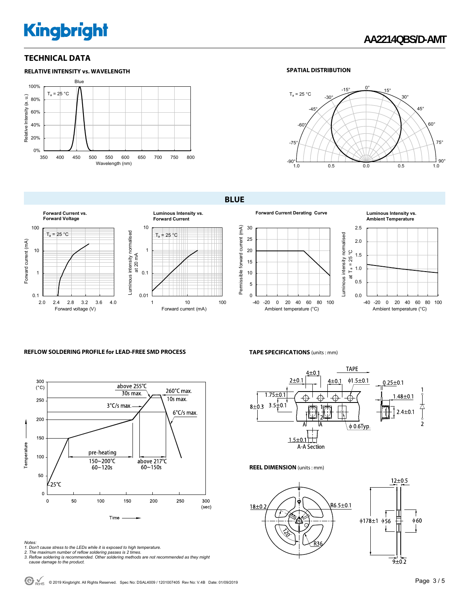# **Kingbright**

### **TECHNICAL DATA**



#### **SPATIAL DISTRIBUTION**



**BLUE** 





Ambient temperature (°C)

#### **REFLOW SOLDERING PROFILE for LEAD-FREE SMD PROCESS**



## **TAPE SPECIFICATIONS** (units : mm)



#### **REEL DIMENSION** (units : mm)



- 
- 
- Notes:<br>1. Don't cause stress to the LEDs while it is exposed to high temperature.<br>2. The maximum number of reflow soldering passes is 2 times.<br>3. Reflow soldering is recommended. Other soldering methods are not recommended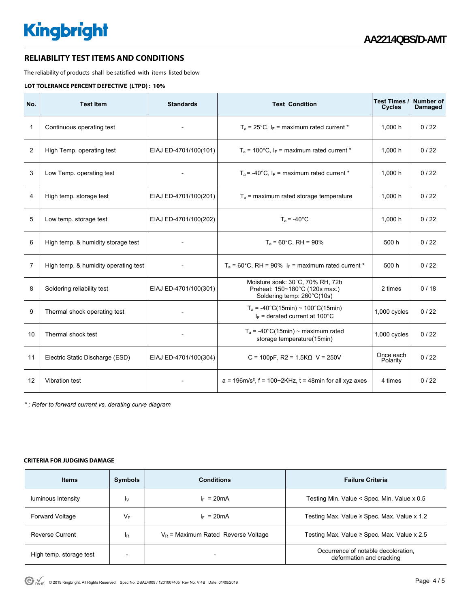#### **RELIABILITY TEST ITEMS AND CONDITIONS**

The reliability of products shall be satisfied with items listed below

#### **LOT TOLERANCE PERCENT DEFECTIVE (LTPD) : 10%**

| No.            | <b>Test Item</b>                     | <b>Standards</b>      | <b>Test Condition</b>                                                                            | Test Times /<br>Cycles | Number of<br>Damaged |
|----------------|--------------------------------------|-----------------------|--------------------------------------------------------------------------------------------------|------------------------|----------------------|
| 1              | Continuous operating test            |                       | $T_a$ = 25°C, $I_F$ = maximum rated current *                                                    | 1,000 h                | 0/22                 |
| 2              | High Temp. operating test            | EIAJ ED-4701/100(101) | $T_a$ = 100°C, $I_F$ = maximum rated current *                                                   | 1,000 h                | 0/22                 |
| 3              | Low Temp. operating test             |                       | $T_a$ = -40°C, $I_F$ = maximum rated current *                                                   | 1,000 h                | 0/22                 |
| 4              | High temp. storage test              | EIAJ ED-4701/100(201) | $T_a$ = maximum rated storage temperature                                                        | 1,000 h                | 0/22                 |
| 5              | Low temp. storage test               | EIAJ ED-4701/100(202) | $T_a = -40^{\circ}$ C                                                                            | 1,000 h                | 0/22                 |
| 6              | High temp. & humidity storage test   |                       | $T_a = 60^{\circ}$ C, RH = 90%                                                                   | 500 h                  | 0/22                 |
| $\overline{7}$ | High temp. & humidity operating test |                       | $T_a$ = 60°C, RH = 90% $I_F$ = maximum rated current *                                           | 500 h                  | 0/22                 |
| 8              | Soldering reliability test           | EIAJ ED-4701/100(301) | Moisture soak: 30°C, 70% RH, 72h<br>Preheat: 150~180°C (120s max.)<br>Soldering temp: 260°C(10s) | 2 times                | 0/18                 |
| 9              | Thermal shock operating test         |                       | $T_a = -40^{\circ}C(15min) \sim 100^{\circ}C(15min)$<br>$I_F$ = derated current at 100°C         | 1,000 cycles           | 0/22                 |
| 10             | Thermal shock test                   |                       | $T_a$ = -40°C(15min) ~ maximum rated<br>storage temperature(15min)                               | $1,000$ cycles         | 0/22                 |
| 11             | Electric Static Discharge (ESD)      | EIAJ ED-4701/100(304) | C = 100pF, R2 = $1.5K\Omega$ V = 250V                                                            | Once each<br>Polarity  | 0/22                 |
| 12             | Vibration test                       |                       | $a = 196$ m/s <sup>2</sup> , f = 100~2KHz, t = 48min for all xyz axes<br>4 times                 |                        | 0/22                 |

*\* : Refer to forward current vs. derating curve diagram* 

#### **CRITERIA FOR JUDGING DAMAGE**

| <b>Items</b>            | <b>Symbols</b>           | <b>Conditions</b>                     | <b>Failure Criteria</b>                                         |  |  |
|-------------------------|--------------------------|---------------------------------------|-----------------------------------------------------------------|--|--|
| luminous Intensity      | I٧                       | $I_F = 20mA$                          | Testing Min. Value < Spec. Min. Value x 0.5                     |  |  |
| <b>Forward Voltage</b>  | VF                       | $I_F = 20mA$                          | Testing Max. Value $\geq$ Spec. Max. Value x 1.2                |  |  |
| <b>Reverse Current</b>  | ΙR.                      | $V_R$ = Maximum Rated Reverse Voltage | Testing Max. Value $\geq$ Spec. Max. Value x 2.5                |  |  |
| High temp. storage test | $\overline{\phantom{0}}$ |                                       | Occurrence of notable decoloration,<br>deformation and cracking |  |  |